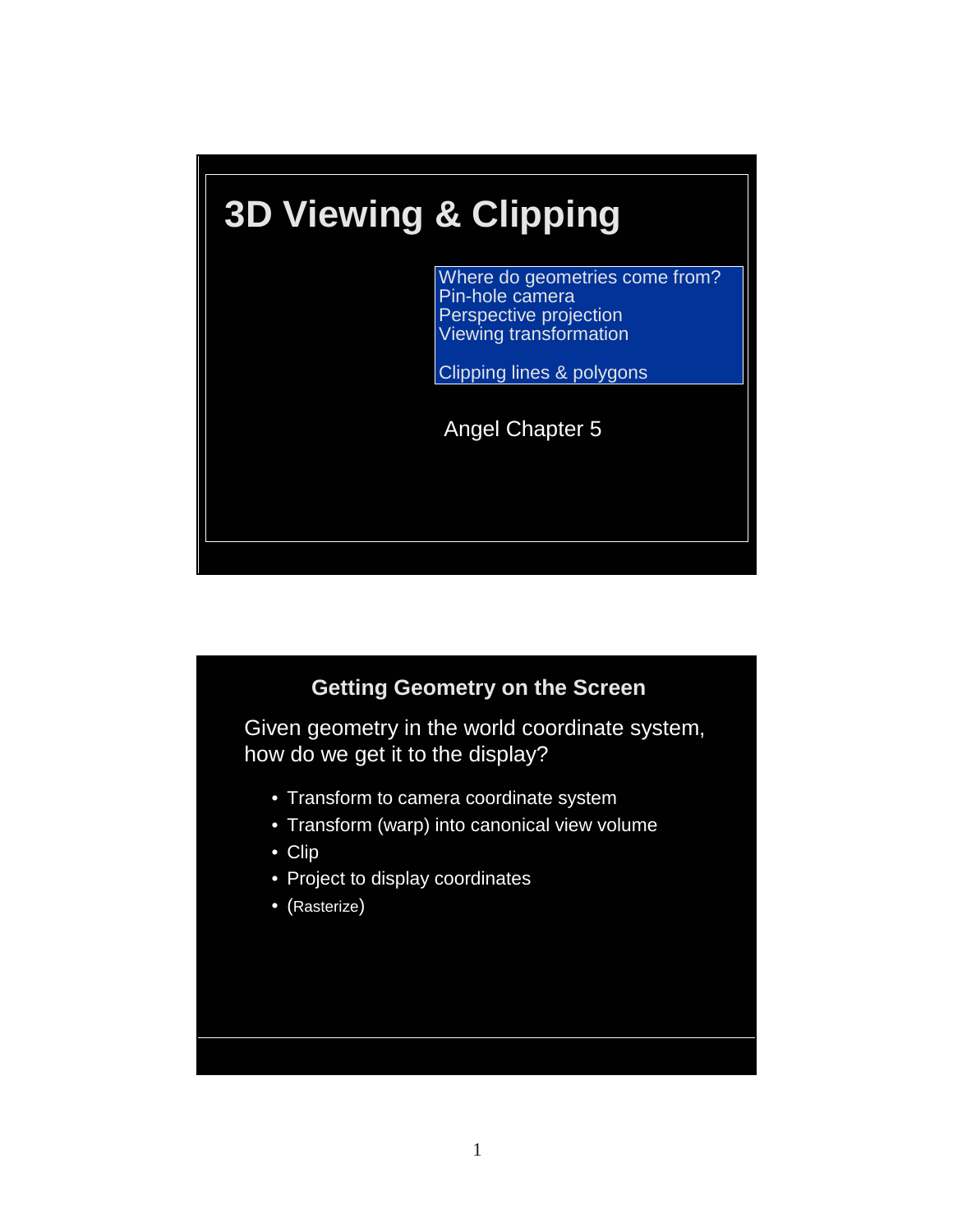

### **Getting Geometry on the Screen**

Given geometry in the world coordinate system, how do we get it to the display?

- Transform to camera coordinate system
- Transform (warp) into canonical view volume
- Clip
- Project to display coordinates
- (Rasterize)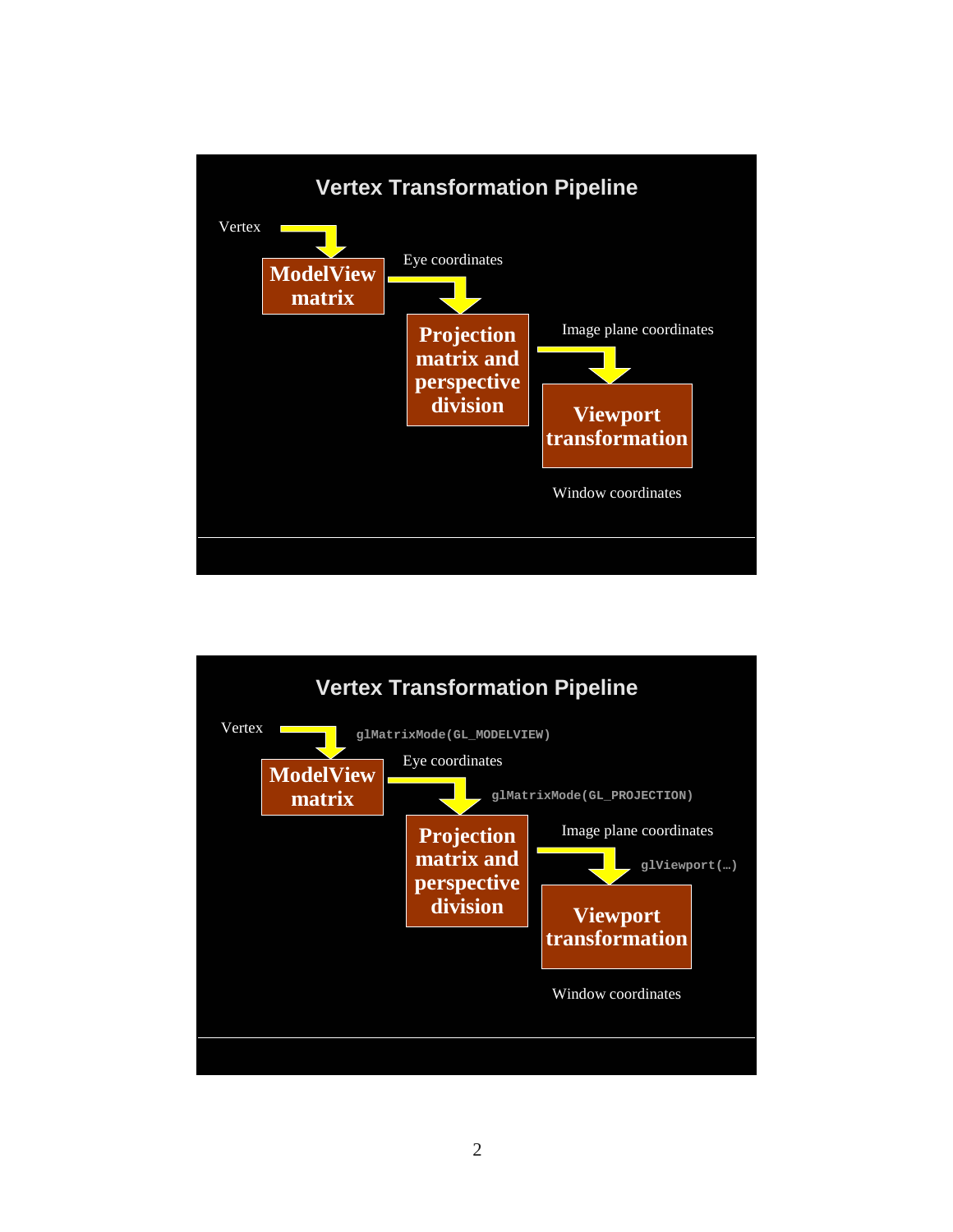

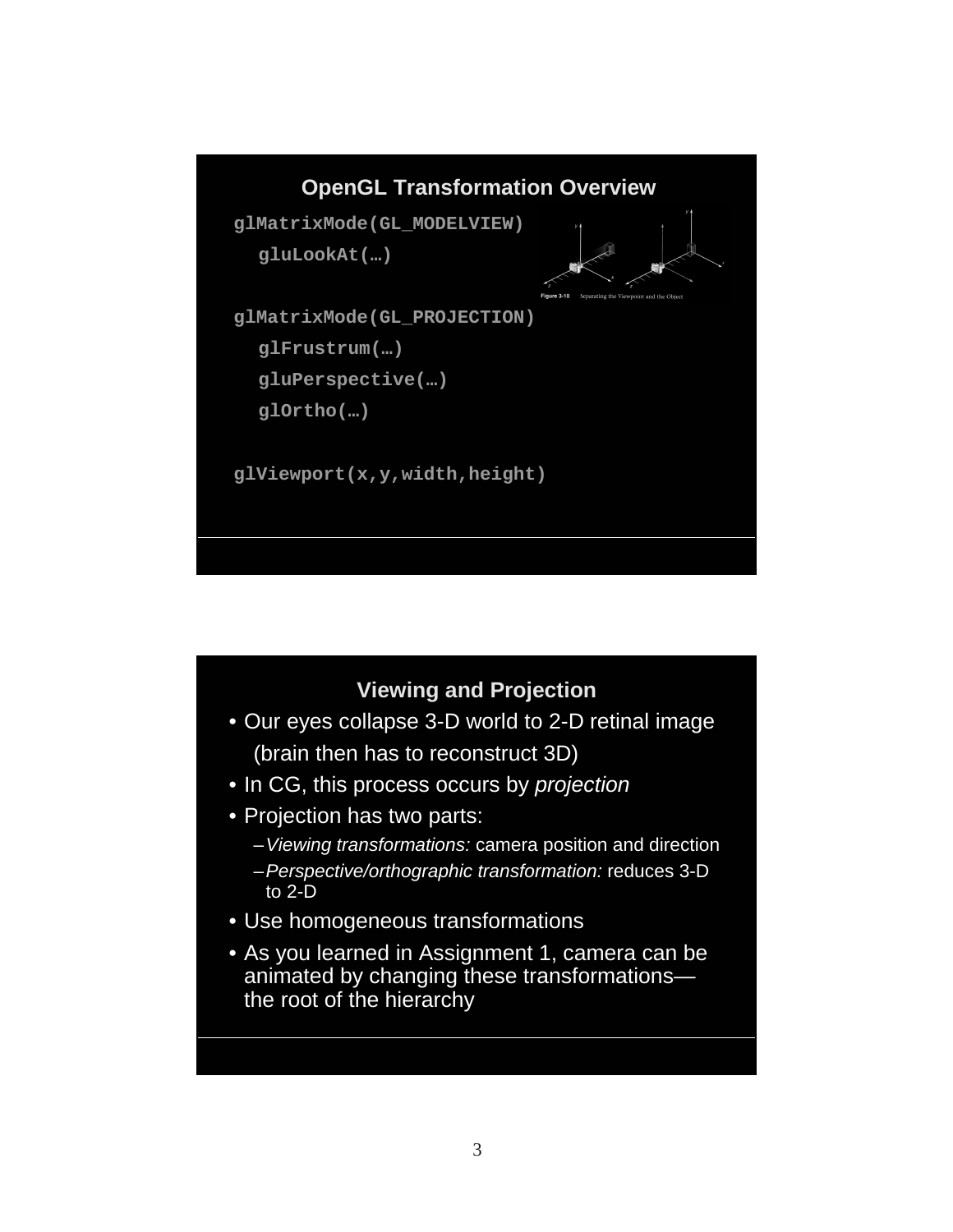

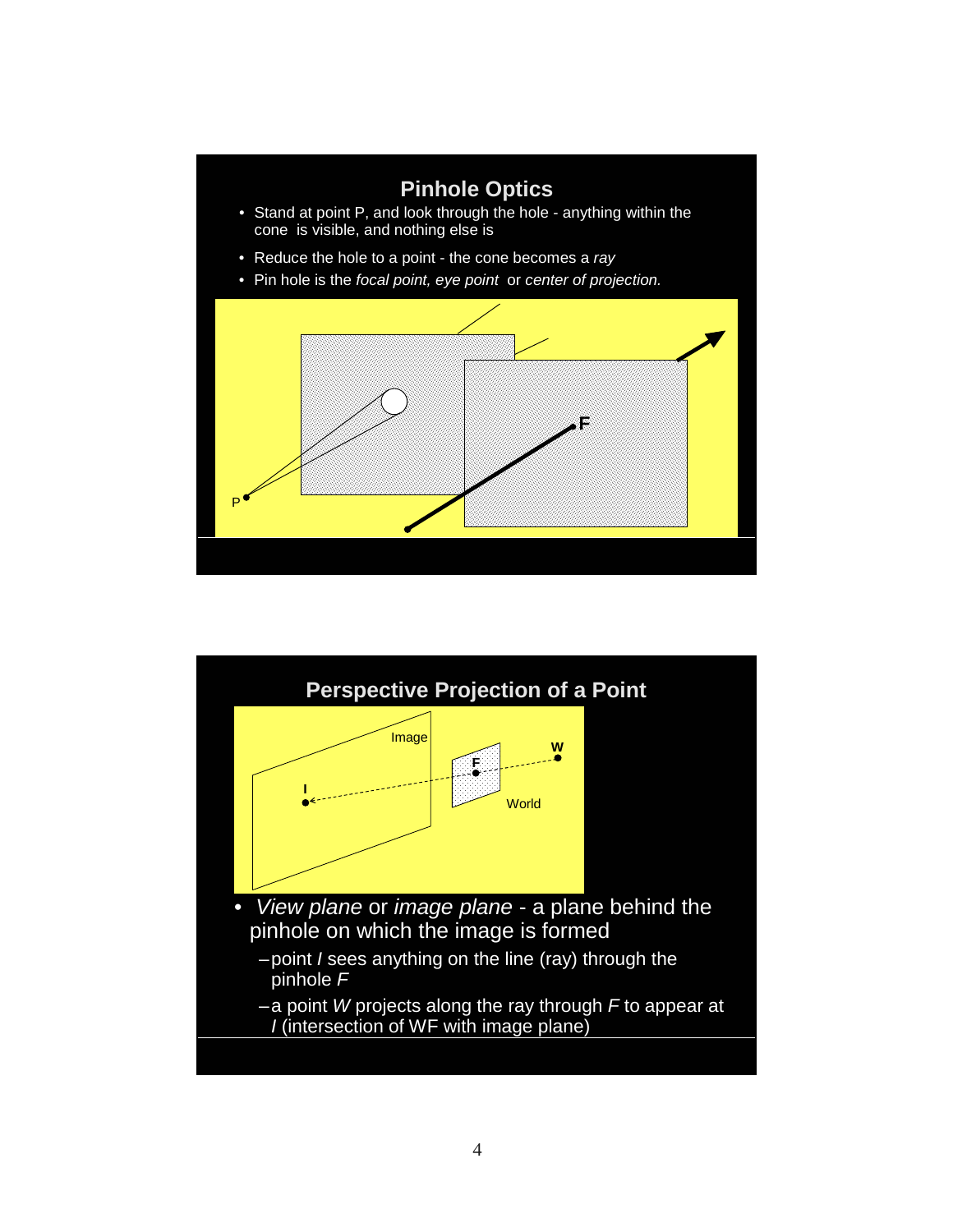

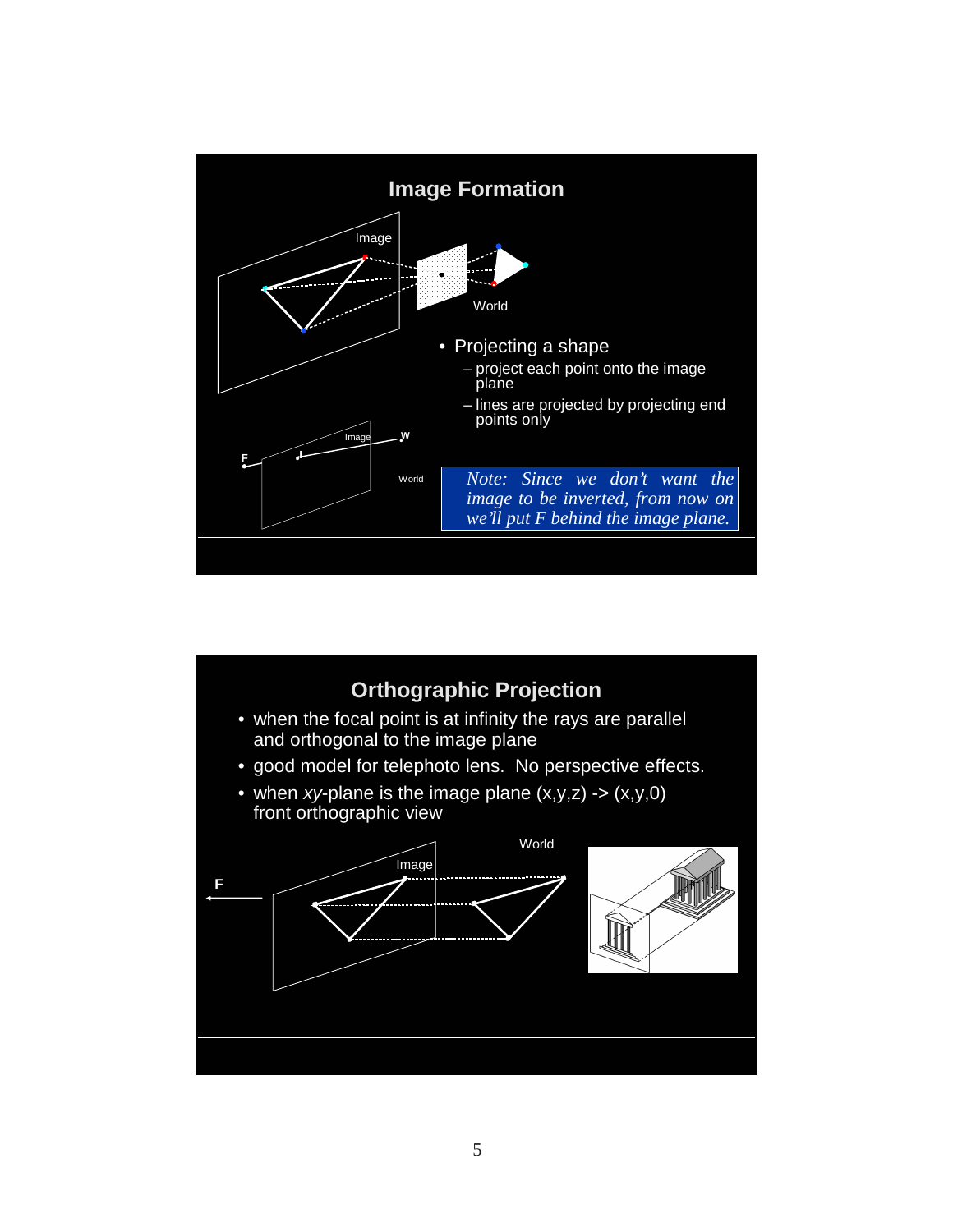

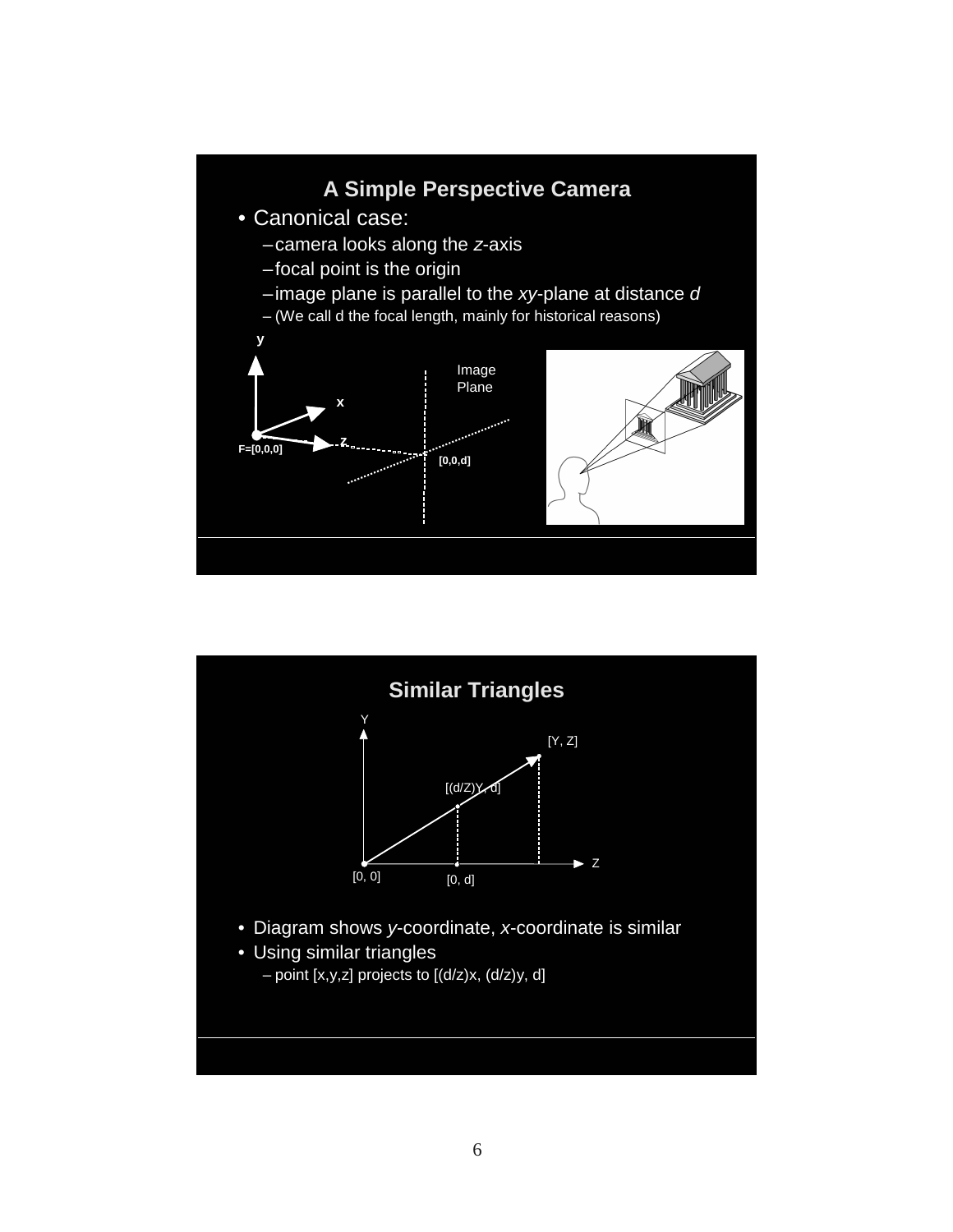

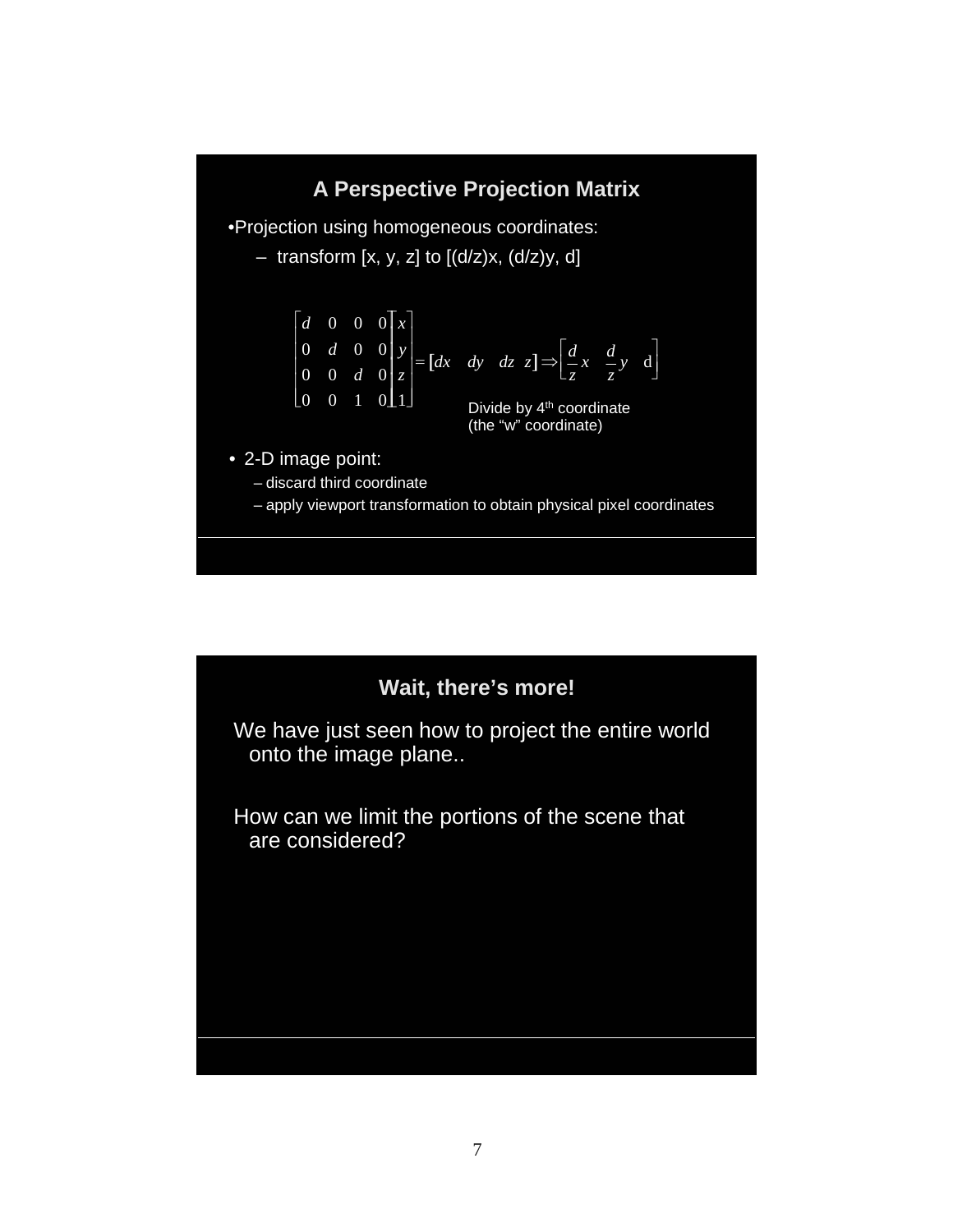## **A Perspective Projection Matrix**

•Projection using homogeneous coordinates:

– transform  $[x, y, z]$  to  $[(d/z)x, (d/z)y, d]$ 

$$
\begin{bmatrix} d & 0 & 0 & 0 \ 0 & d & 0 & 0 \ 0 & 0 & d & 0 \ 0 & 0 & 1 & 0 \end{bmatrix} \begin{bmatrix} x \ y \ z \end{bmatrix} = \begin{bmatrix} dx & dy & dz & z \end{bmatrix} \Rightarrow \begin{bmatrix} \frac{d}{dz}x & \frac{d}{z}y & d \end{bmatrix}
$$
  
Divide by 4<sup>th</sup> coordinate

(the "w" coordinate)

• 2-D image point:

– discard third coordinate

– apply viewport transformation to obtain physical pixel coordinates

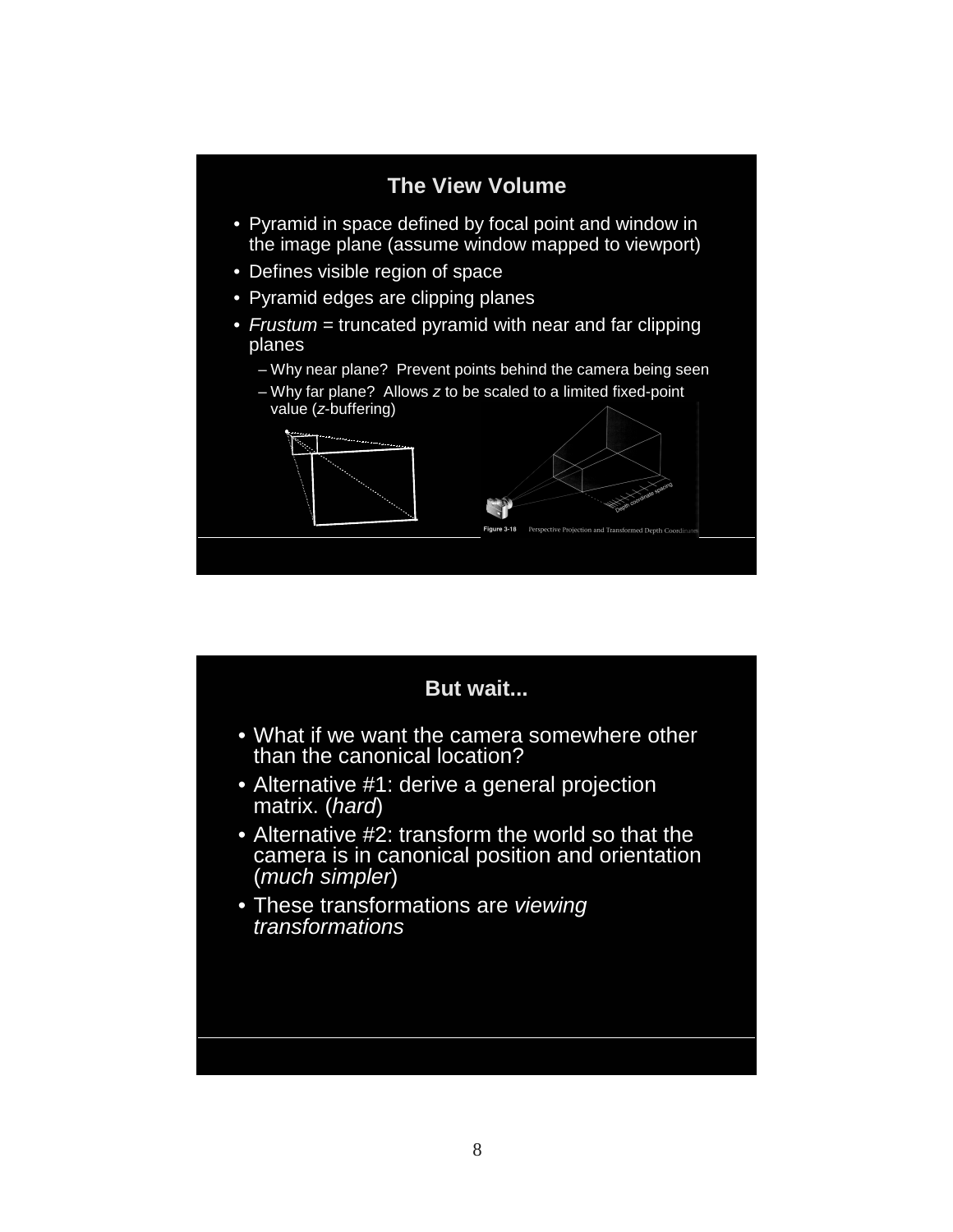

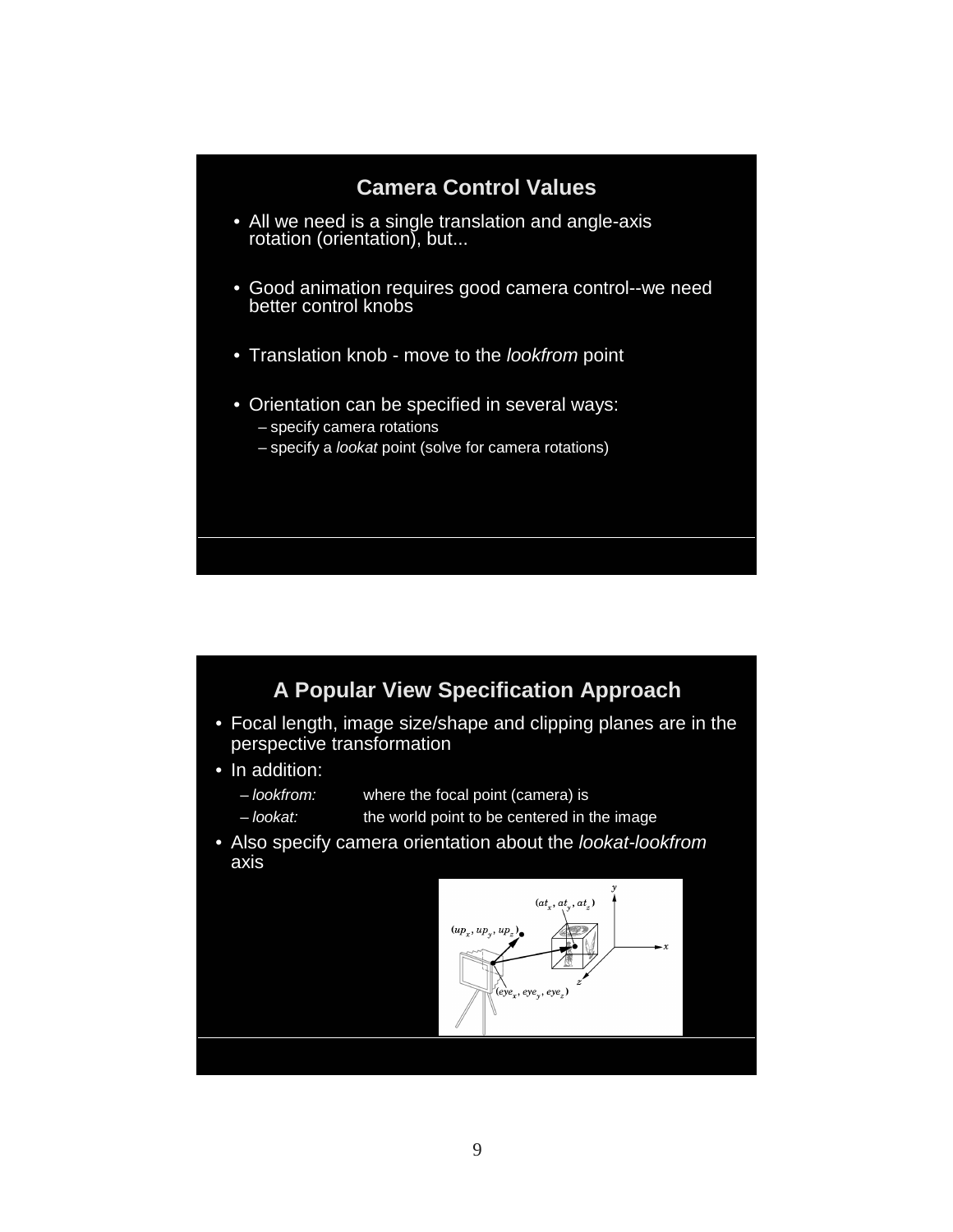#### **Camera Control Values**

- All we need is a single translation and angle-axis rotation (orientation), but...
- Good animation requires good camera control--we need better control knobs
- Translation knob move to the lookfrom point
- Orientation can be specified in several ways: – specify camera rotations
	- specify a lookat point (solve for camera rotations)

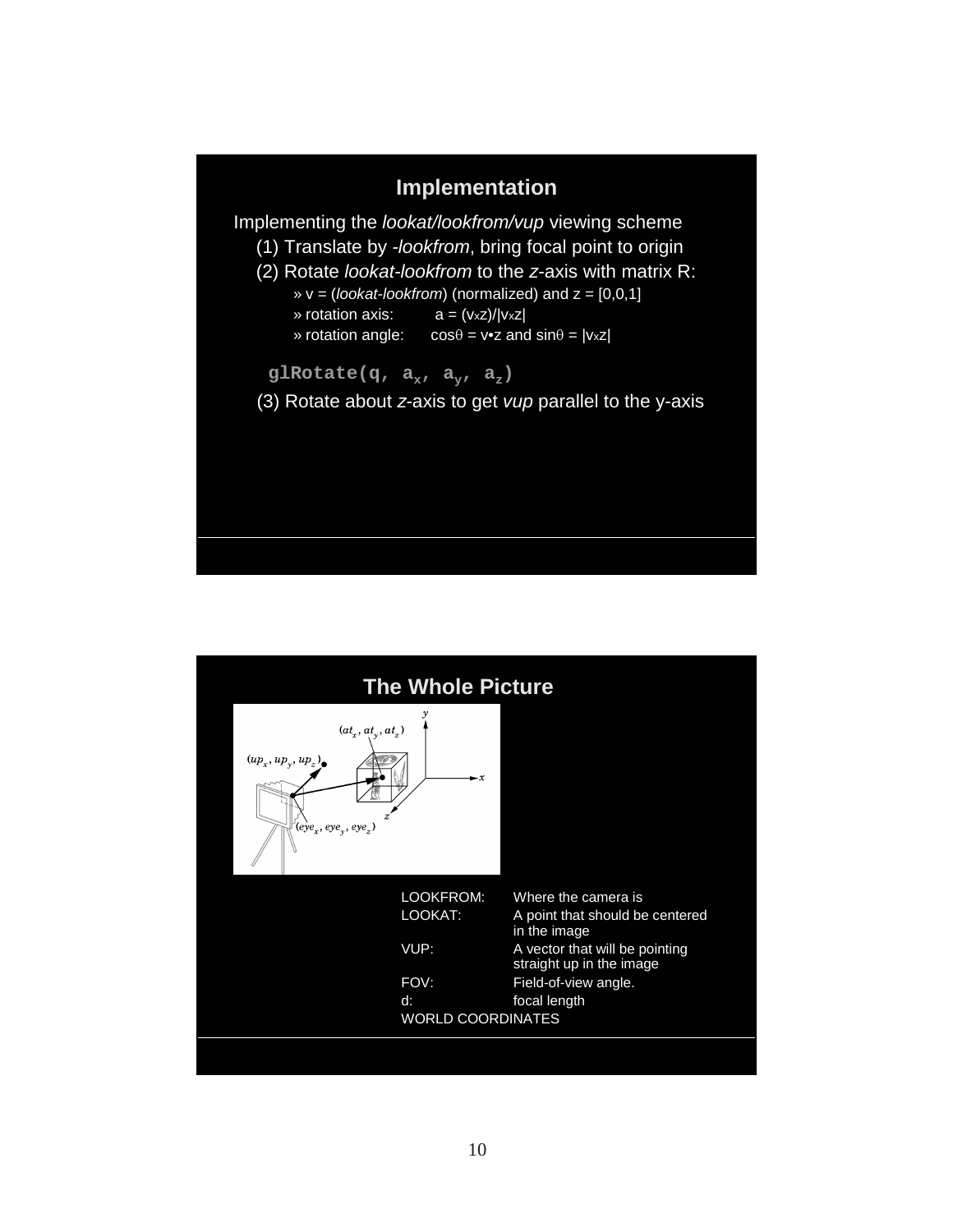

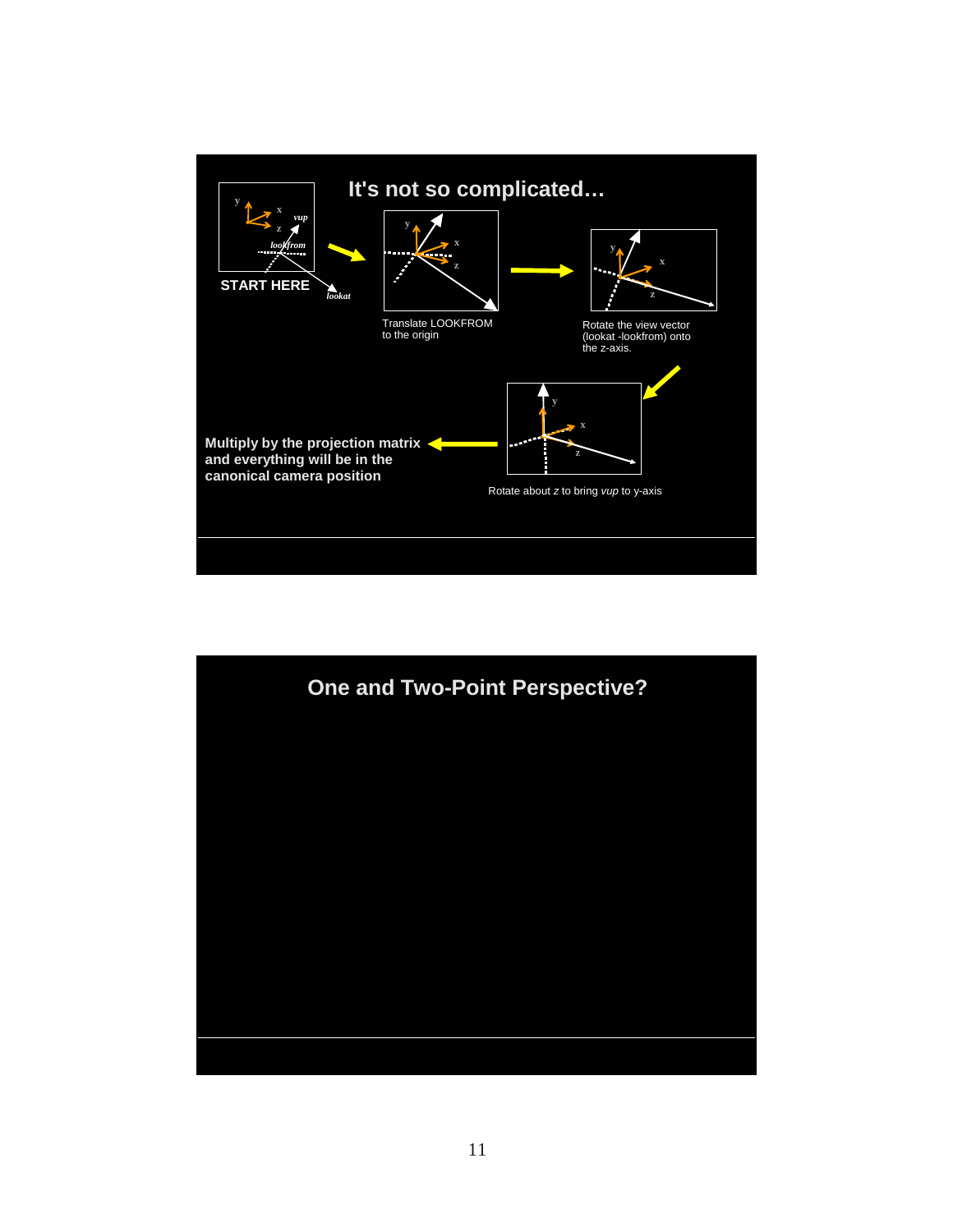

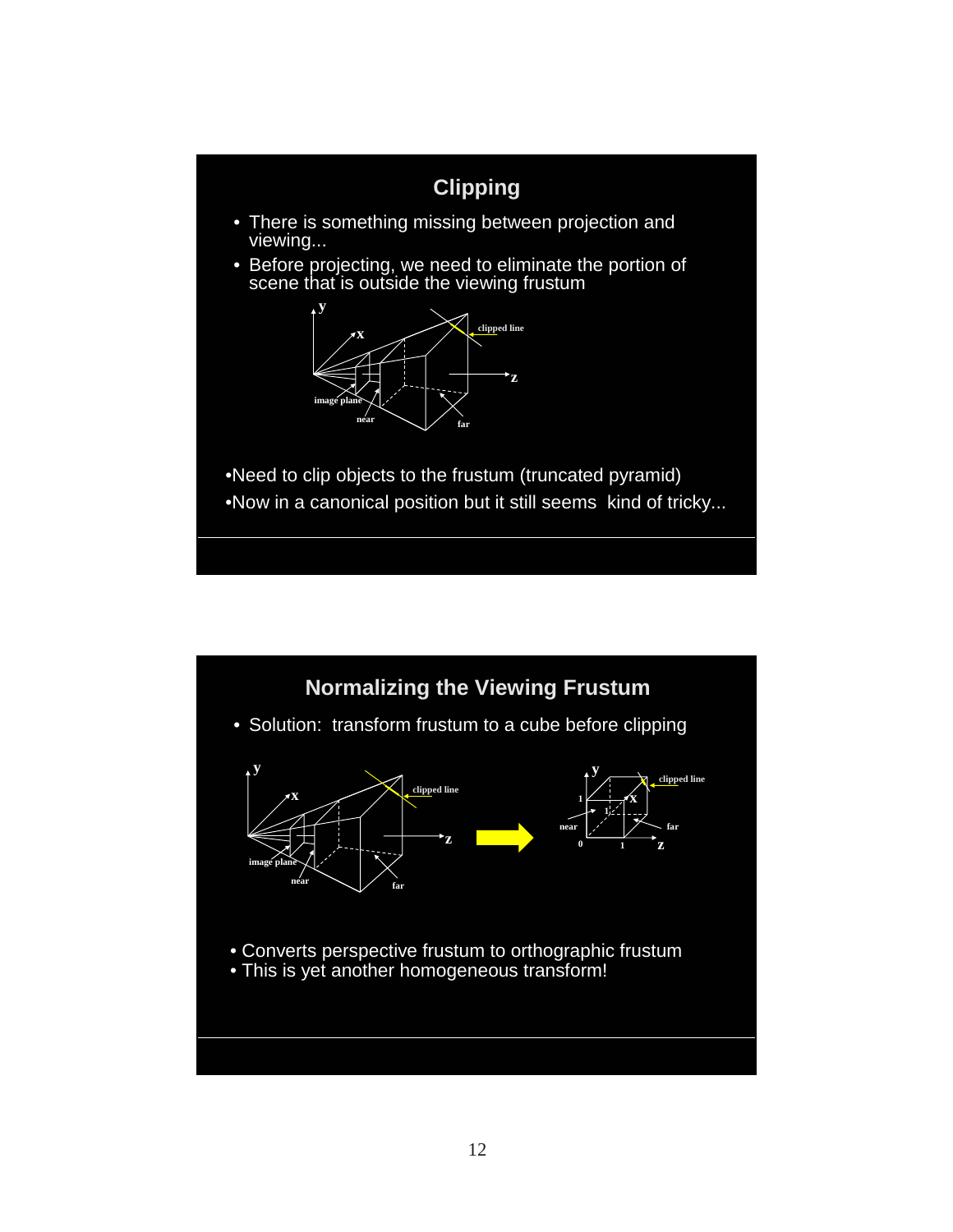

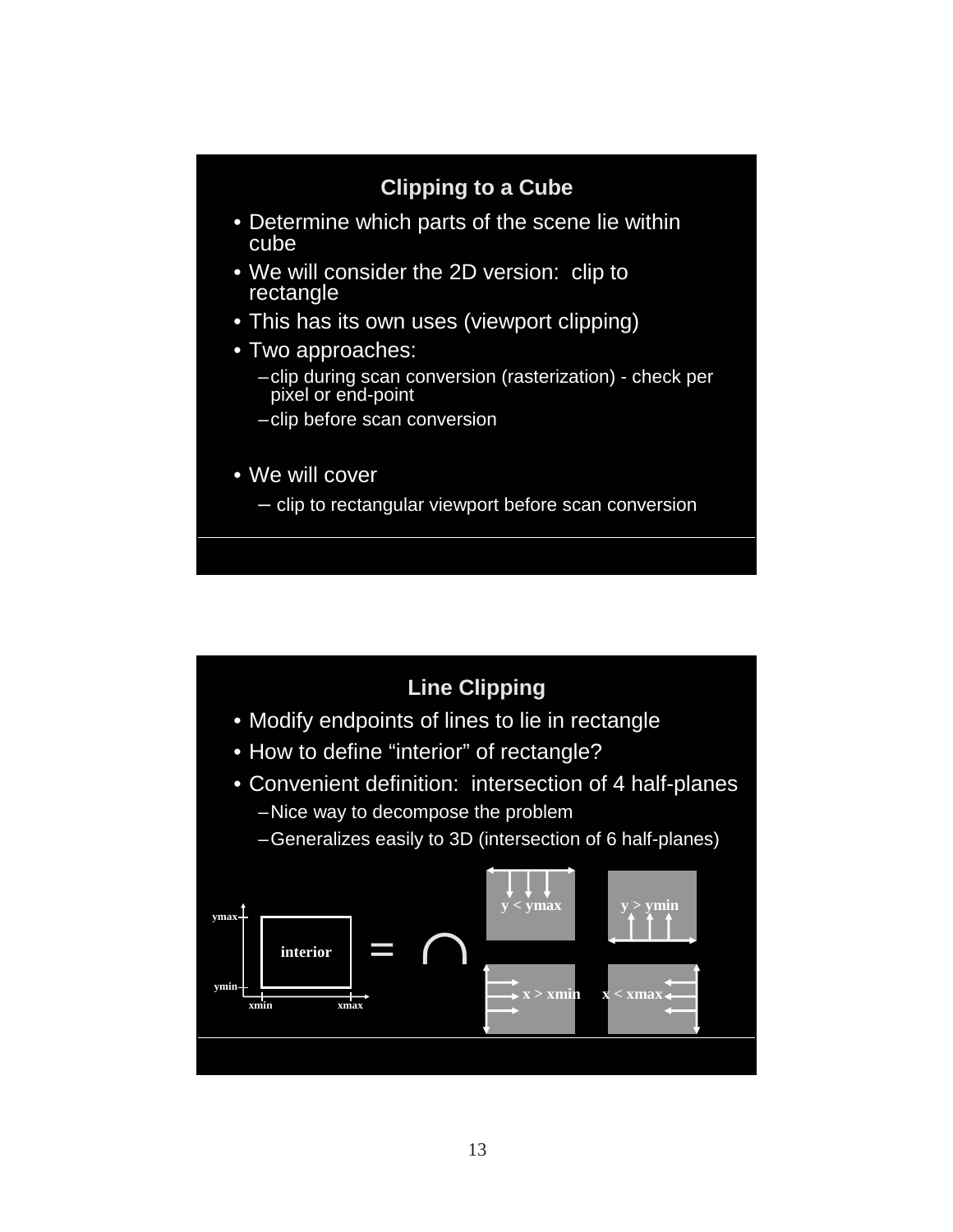# **Clipping to a Cube** • Determine which parts of the scene lie within cube • We will consider the 2D version: clip to rectangle • This has its own uses (viewport clipping) • Two approaches: –clip during scan conversion (rasterization) - check per pixel or end-point –clip before scan conversion • We will cover – clip to rectangular viewport before scan conversion

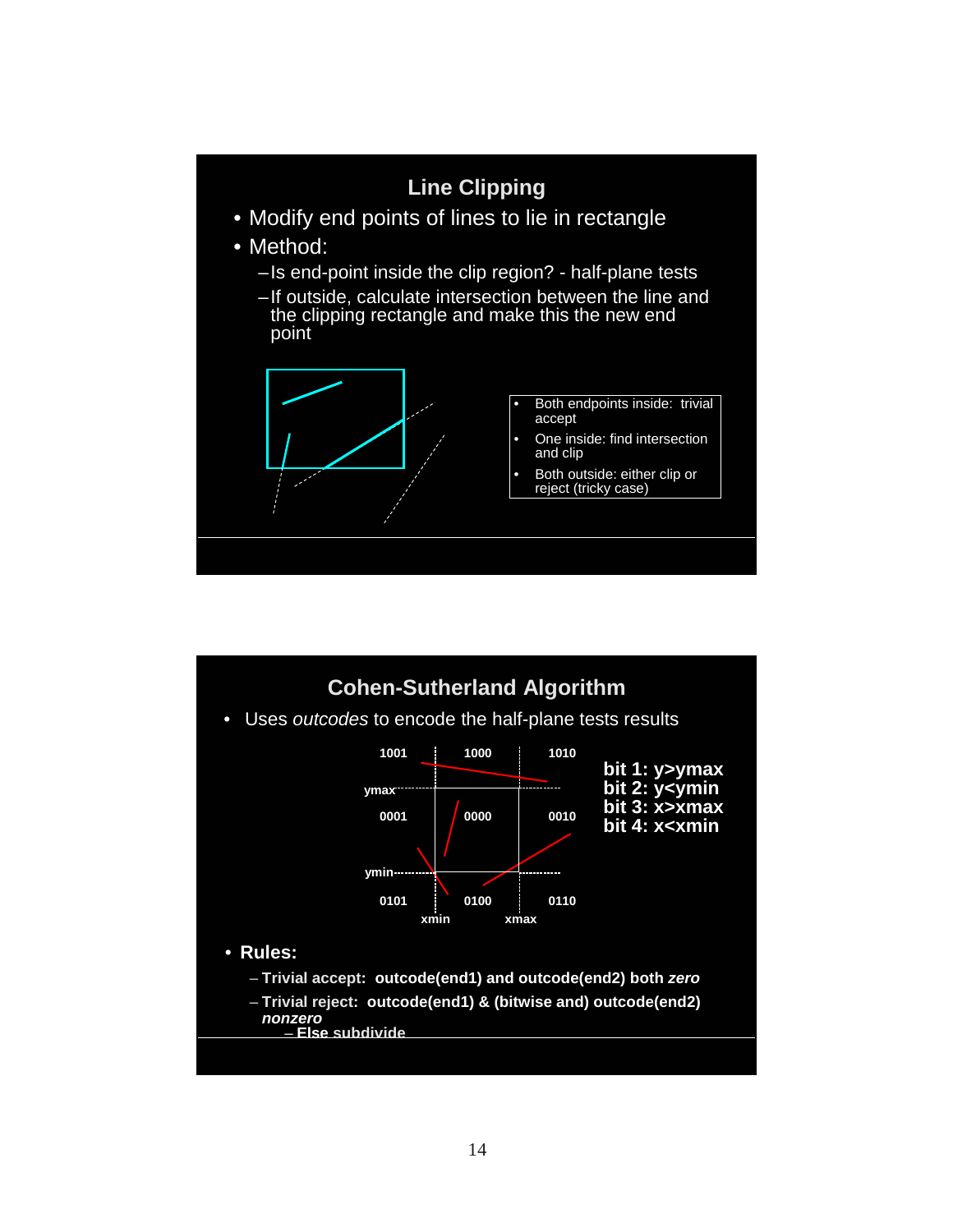

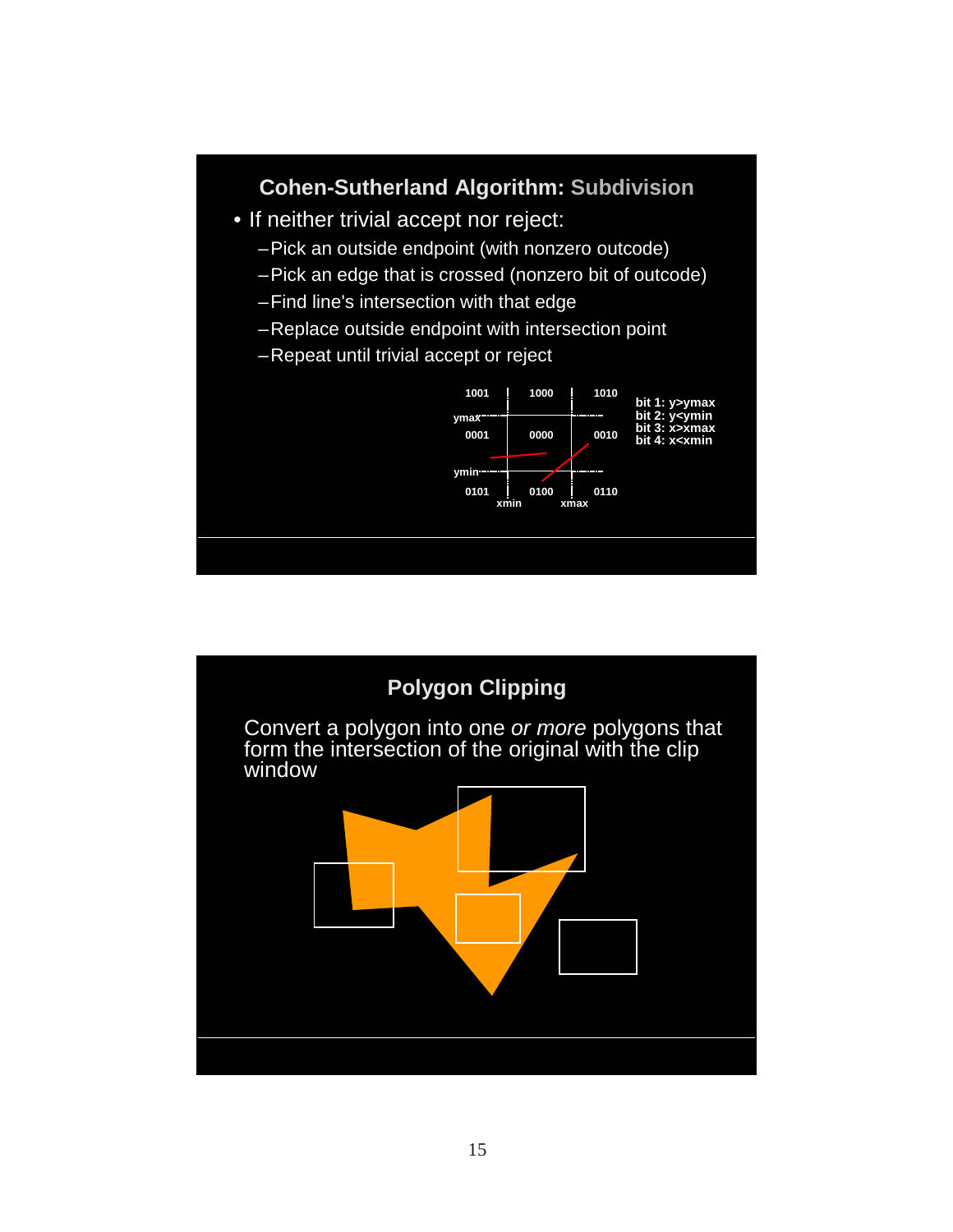

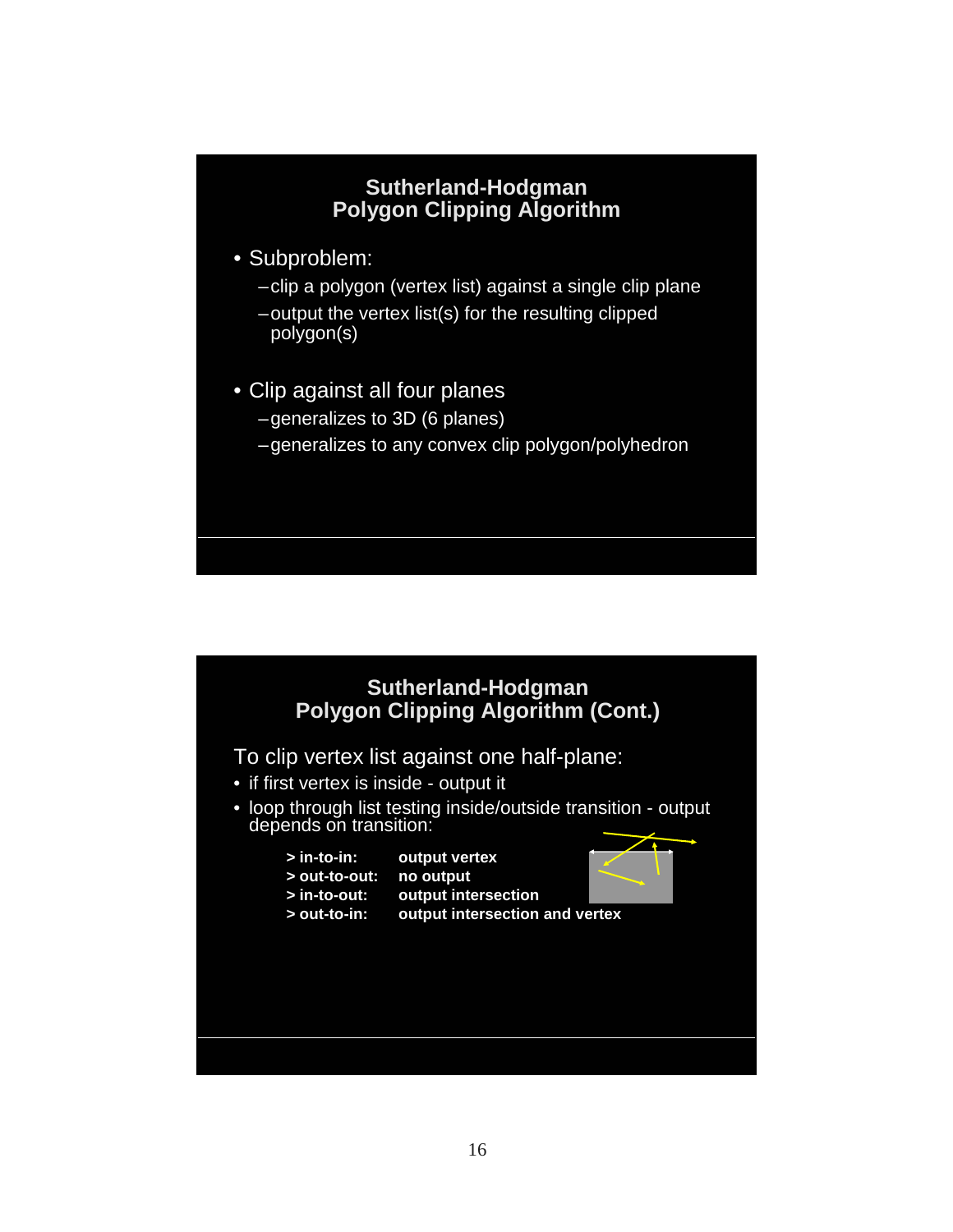### **Sutherland-Hodgman Polygon Clipping Algorithm**

- Subproblem:
	- –clip a polygon (vertex list) against a single clip plane
	- –output the vertex list(s) for the resulting clipped polygon(s)
- Clip against all four planes
	- –generalizes to 3D (6 planes)
	- –generalizes to any convex clip polygon/polyhedron



To clip vertex list against one half-plane:

- if first vertex is inside output it
- loop through list testing inside/outside transition output depends on transition:
	- **> in-to-in: output vertex**
	- **> out-to-out: no output**
	- **> in-to-out: output intersection**
	- **> out-to-in: output intersection and vertex**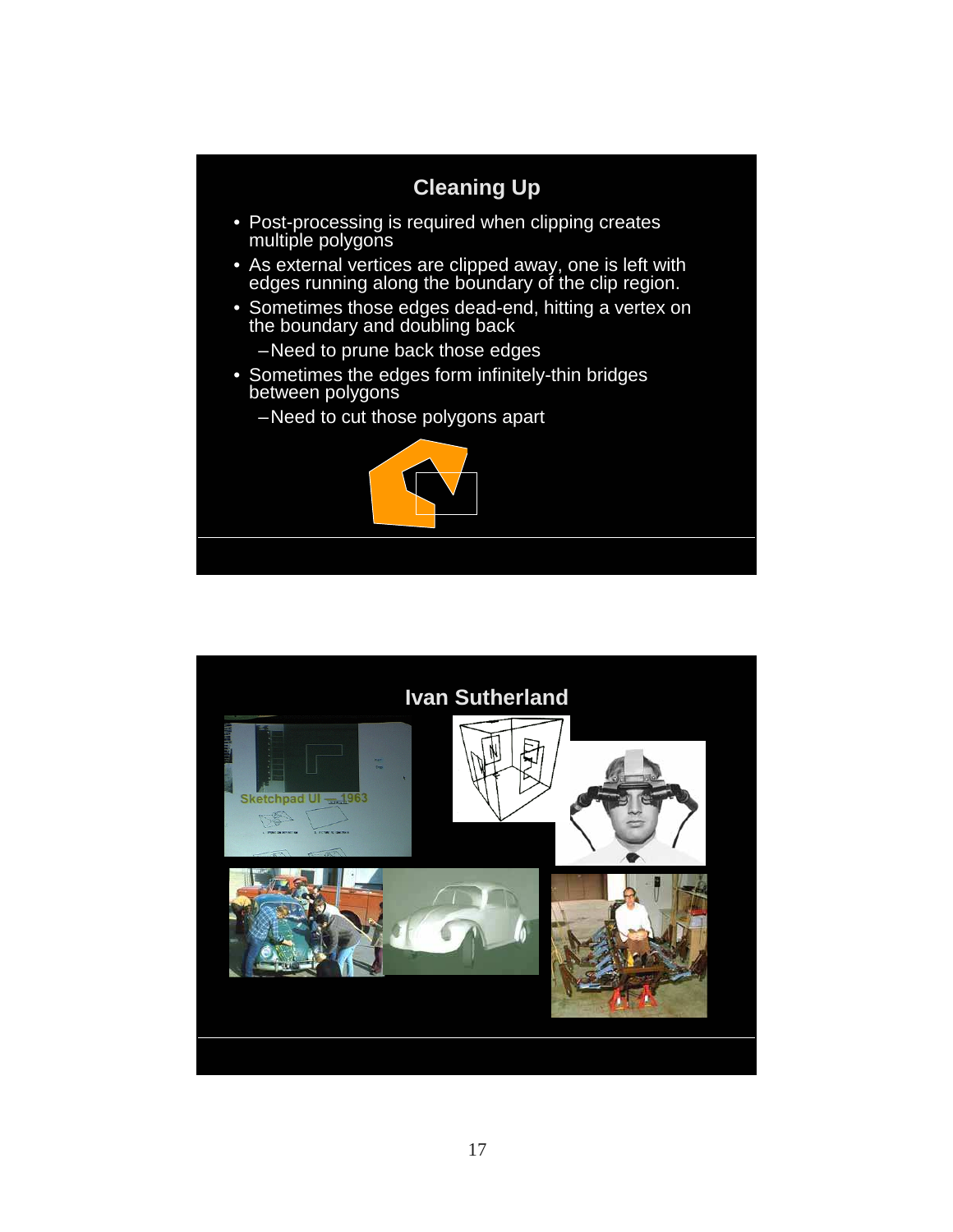

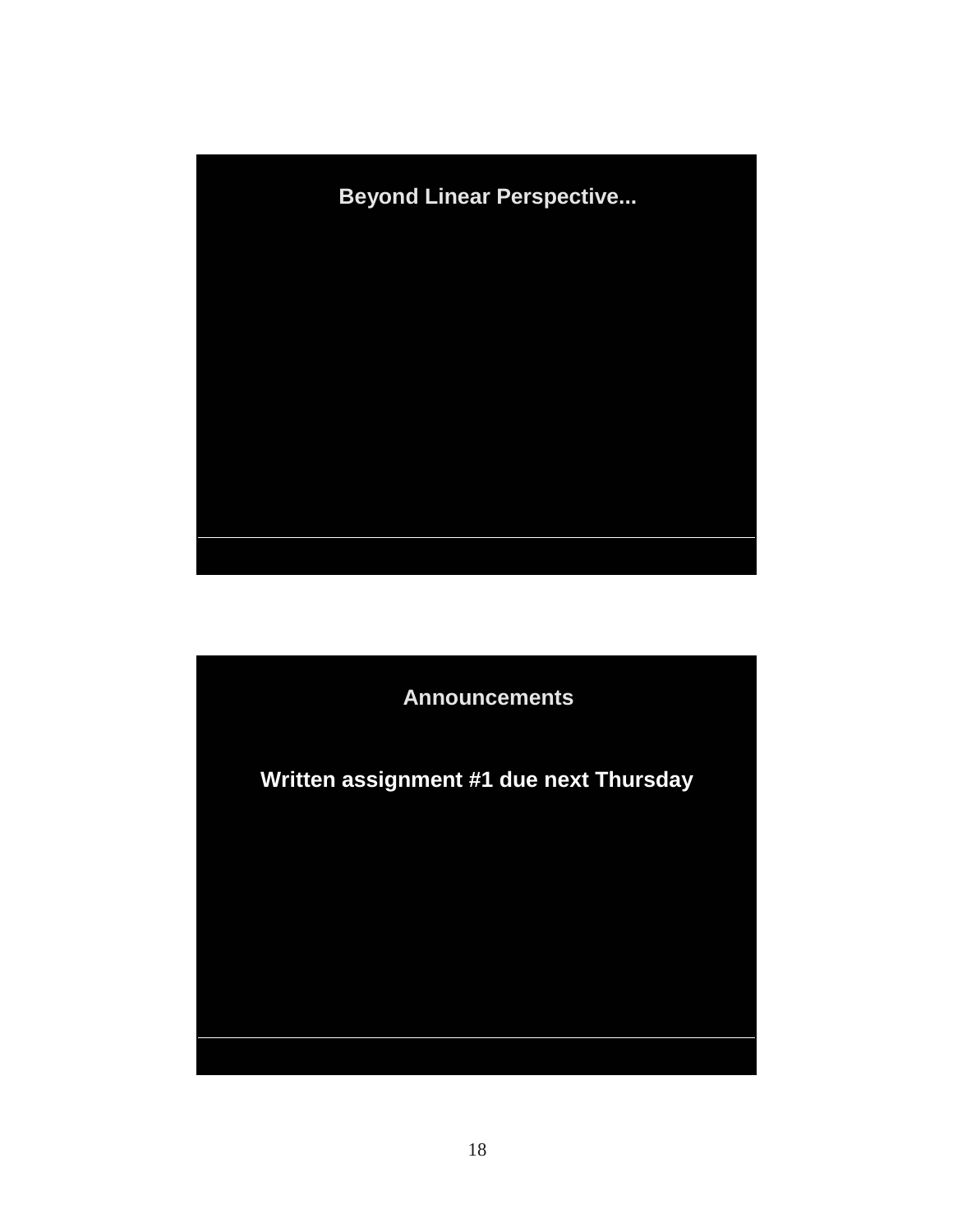

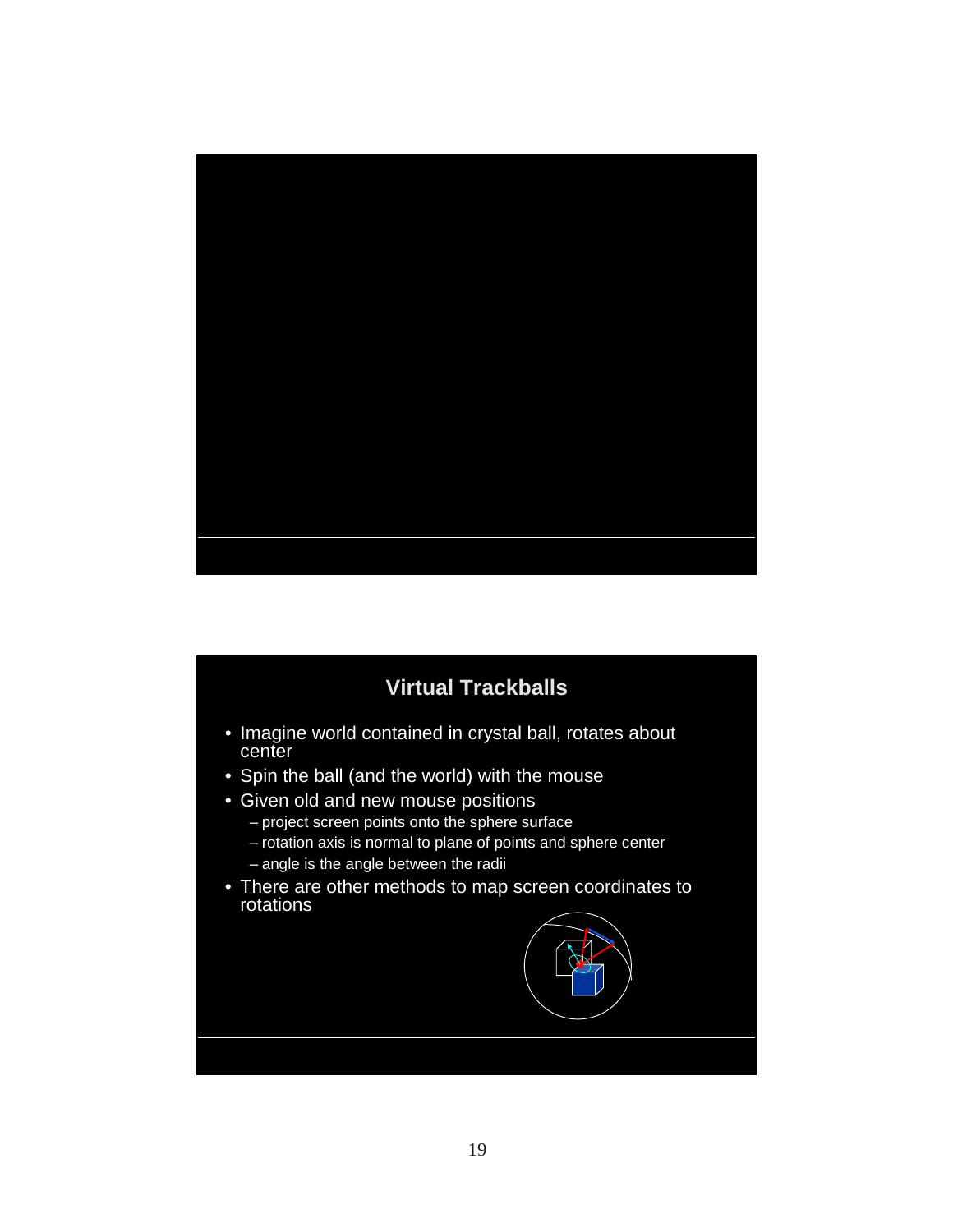

## **Virtual Trackballs**

- Imagine world contained in crystal ball, rotates about center
- Spin the ball (and the world) with the mouse
- Given old and new mouse positions
	- project screen points onto the sphere surface
	- rotation axis is normal to plane of points and sphere center – angle is the angle between the radii
- There are other methods to map screen coordinates to rotations